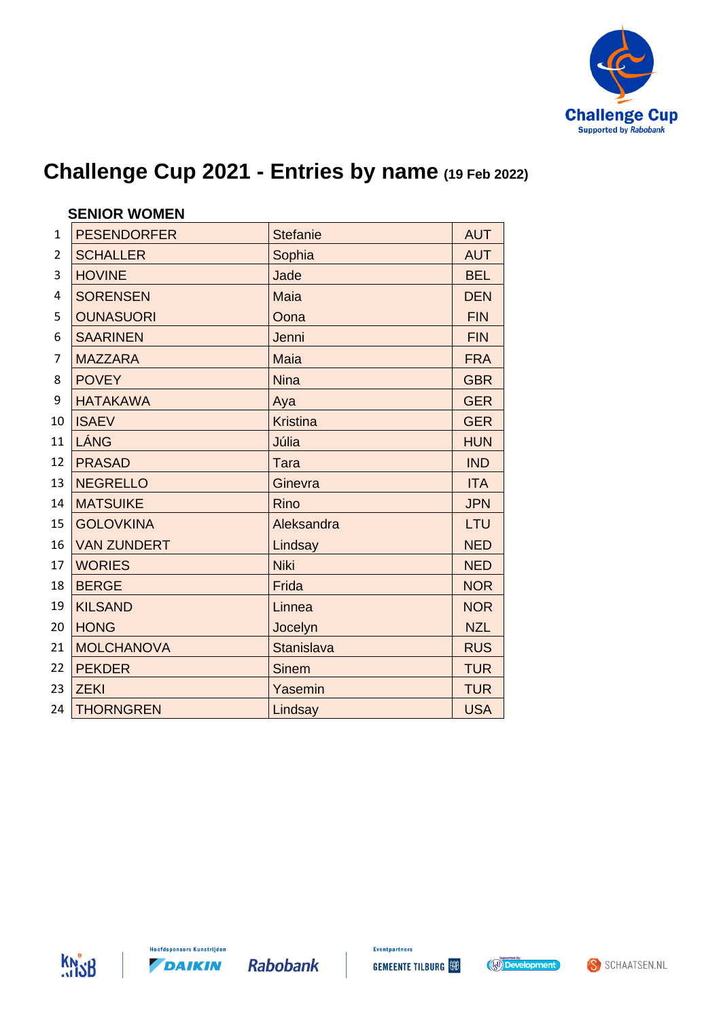

|                | <b>SENIOR WOMEN</b> |                 |            |
|----------------|---------------------|-----------------|------------|
| $\mathbf{1}$   | <b>PESENDORFER</b>  | <b>Stefanie</b> | <b>AUT</b> |
| $\overline{2}$ | <b>SCHALLER</b>     | Sophia          | <b>AUT</b> |
| 3              | <b>HOVINE</b>       | Jade            | <b>BEL</b> |
| $\overline{4}$ | <b>SORENSEN</b>     | <b>Maia</b>     | <b>DEN</b> |
| 5              | <b>OUNASUORI</b>    | Oona            | <b>FIN</b> |
| 6              | <b>SAARINEN</b>     | Jenni           | <b>FIN</b> |
| $\overline{7}$ | <b>MAZZARA</b>      | <b>Maia</b>     | <b>FRA</b> |
| 8              | <b>POVEY</b>        | <b>Nina</b>     | <b>GBR</b> |
| 9              | <b>HATAKAWA</b>     | Aya             | <b>GER</b> |
| 10             | <b>ISAEV</b>        | <b>Kristina</b> | <b>GER</b> |
| 11             | LÁNG                | Júlia           | <b>HUN</b> |
| 12             | <b>PRASAD</b>       | Tara            | <b>IND</b> |
| 13             | <b>NEGRELLO</b>     | Ginevra         | <b>ITA</b> |
| 14             | <b>MATSUIKE</b>     | Rino            | <b>JPN</b> |
| 15             | <b>GOLOVKINA</b>    | Aleksandra      | LTU        |
| 16             | <b>VAN ZUNDERT</b>  | Lindsay         | <b>NED</b> |
| 17             | <b>WORIES</b>       | <b>Niki</b>     | <b>NED</b> |
| 18             | <b>BERGE</b>        | Frida           | <b>NOR</b> |
| 19             | <b>KILSAND</b>      | Linnea          | <b>NOR</b> |
| 20             | <b>HONG</b>         | Jocelyn         | <b>NZL</b> |
| 21             | <b>MOLCHANOVA</b>   | Stanislava      | <b>RUS</b> |
| 22             | <b>PEKDER</b>       | <b>Sinem</b>    | <b>TUR</b> |
| 23             | <b>ZEKI</b>         | Yasemin         | <b>TUR</b> |
| 24             | <b>THORNGREN</b>    | Lindsay         | <b>USA</b> |







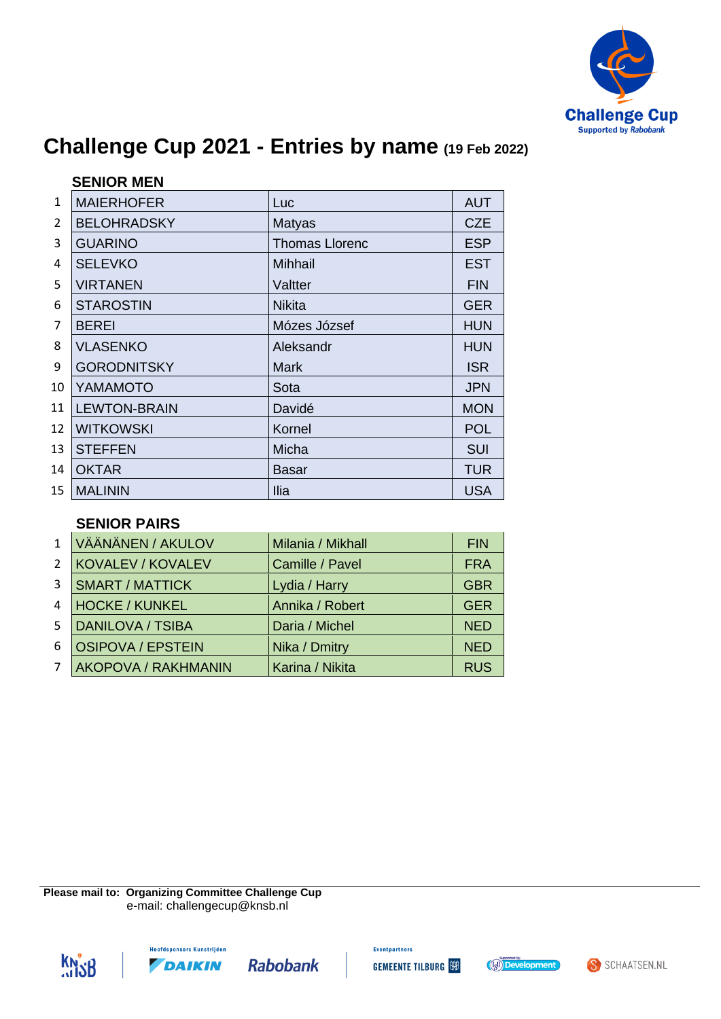

|                | <b>SENIOR MEN</b>   |                       |            |
|----------------|---------------------|-----------------------|------------|
| $\mathbf{1}$   | <b>MAIERHOFER</b>   | Luc                   | <b>AUT</b> |
| $\overline{2}$ | <b>BELOHRADSKY</b>  | <b>Matyas</b>         | <b>CZE</b> |
| 3              | <b>GUARINO</b>      | <b>Thomas Llorenc</b> | <b>ESP</b> |
| 4              | <b>SELEVKO</b>      | <b>Mihhail</b>        | <b>EST</b> |
| 5              | <b>VIRTANEN</b>     | Valtter               | <b>FIN</b> |
| 6              | <b>STAROSTIN</b>    | <b>Nikita</b>         | <b>GER</b> |
| $\overline{7}$ | <b>BEREI</b>        | Mózes József          | <b>HUN</b> |
| 8              | <b>VLASENKO</b>     | Aleksandr             | <b>HUN</b> |
| 9              | <b>GORODNITSKY</b>  | <b>Mark</b>           | <b>ISR</b> |
| 10             | YAMAMOTO            | Sota                  | <b>JPN</b> |
| 11             | <b>LEWTON-BRAIN</b> | Davidé                | <b>MON</b> |
| 12             | <b>WITKOWSKI</b>    | Kornel                | <b>POL</b> |
| 13             | <b>STEFFEN</b>      | Micha                 | <b>SUI</b> |
| 14             | <b>OKTAR</b>        | Basar                 | <b>TUR</b> |
| 15             | <b>MALININ</b>      | <b>Ilia</b>           | <b>USA</b> |

#### **SENIOR PAIRS**

| $\mathbf{1}$   | VÄÄNÄNEN / AKULOV          | Milania / Mikhall | <b>FIN</b> |
|----------------|----------------------------|-------------------|------------|
| $\overline{2}$ | <b>KOVALEV / KOVALEV</b>   | Camille / Pavel   | <b>FRA</b> |
| 3              | <b>SMART / MATTICK</b>     | Lydia / Harry     | <b>GBR</b> |
| 4              | <b>HOCKE / KUNKEL</b>      | Annika / Robert   | <b>GER</b> |
| 5.             | <b>DANILOVA / TSIBA</b>    | Daria / Michel    | <b>NED</b> |
| 6              | <b>OSIPOVA / EPSTEIN</b>   | Nika / Dmitry     | <b>NED</b> |
| 7              | <b>AKOPOVA / RAKHMANIN</b> | Karina / Nikita   | <b>RUS</b> |

**Please mail to: Organizing Committee Challenge Cup** e-mail: challengecup@knsb.nl





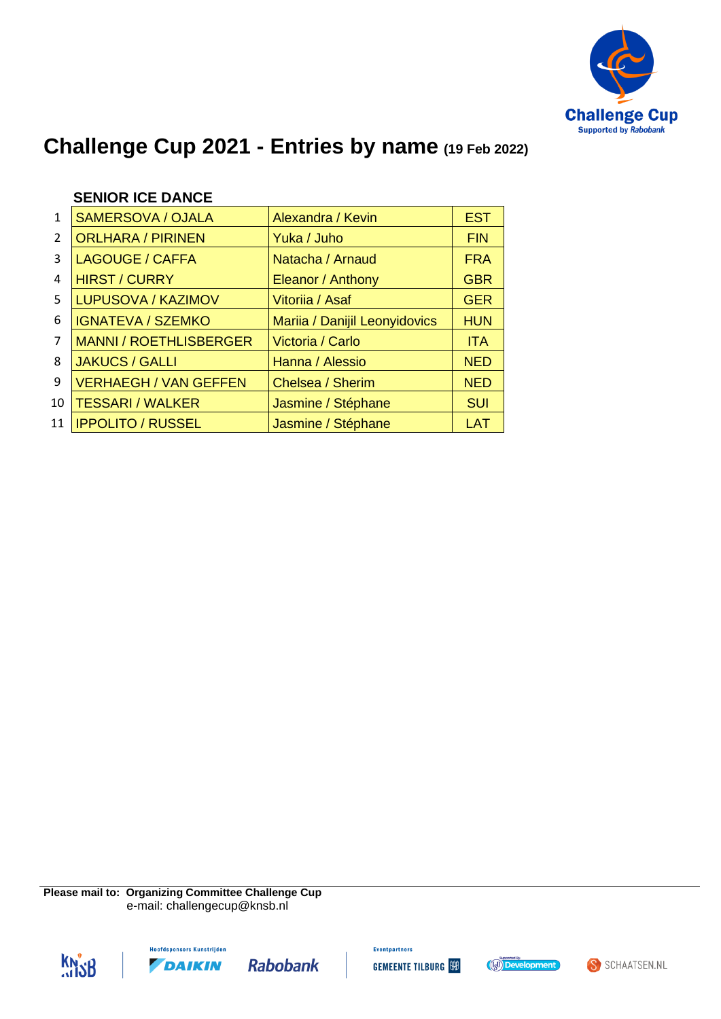

|               | <b>SENIOR ICE DANCE</b>       |                               |            |
|---------------|-------------------------------|-------------------------------|------------|
| 1             | SAMERSOVA / OJALA             | Alexandra / Kevin             | <b>EST</b> |
| $\mathcal{P}$ | <b>ORLHARA / PIRINEN</b>      | Yuka / Juho                   | <b>FIN</b> |
| 3             | <b>LAGOUGE / CAFFA</b>        | Natacha / Arnaud              | <b>FRA</b> |
| 4             | <b>HIRST / CURRY</b>          | Eleanor / Anthony             | <b>GBR</b> |
| 5             | LUPUSOVA / KAZIMOV            | Vitoriia / Asaf               | <b>GER</b> |
| 6             | <b>IGNATEVA / SZEMKO</b>      | Mariia / Danijil Leonyidovics | <b>HUN</b> |
| 7             | <b>MANNI / ROETHLISBERGER</b> | Victoria / Carlo              | <b>ITA</b> |
| 8             | <b>JAKUCS / GALLI</b>         | Hanna / Alessio               | <b>NED</b> |
| 9             | <b>VERHAEGH / VAN GEFFEN</b>  | Chelsea / Sherim              | <b>NED</b> |

10 TESSARI / WALKER Jasmine / Stéphane | SUI 11 **IPPOLITO / RUSSEL Jasmine / Stéphane** | LAT

**Please mail to: Organizing Committee Challenge Cup** e-mail: challengecup@knsb.nl







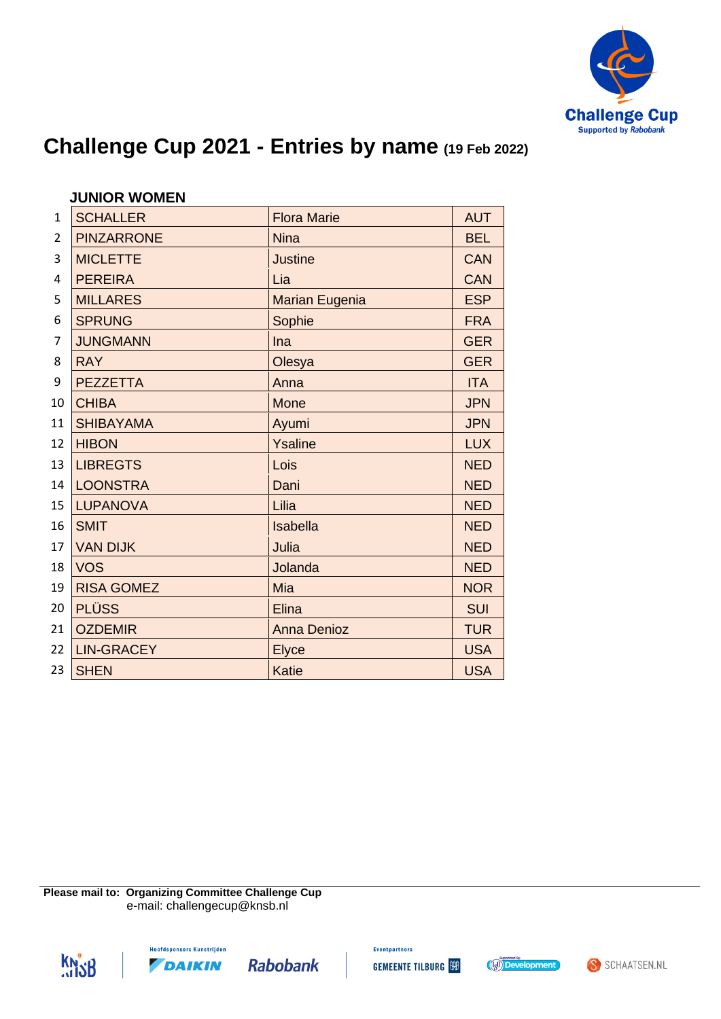

|                | <b>JUNIOR WOMEN</b> |                       |            |
|----------------|---------------------|-----------------------|------------|
| $\mathbf{1}$   | <b>SCHALLER</b>     | <b>Flora Marie</b>    | <b>AUT</b> |
| $\overline{2}$ | <b>PINZARRONE</b>   | <b>Nina</b>           | <b>BEL</b> |
| 3              | <b>MICLETTE</b>     | <b>Justine</b>        | <b>CAN</b> |
| 4              | <b>PEREIRA</b>      | Lia                   | <b>CAN</b> |
| 5              | <b>MILLARES</b>     | <b>Marian Eugenia</b> | <b>ESP</b> |
| 6              | <b>SPRUNG</b>       | Sophie                | <b>FRA</b> |
| 7              | <b>JUNGMANN</b>     | Ina                   | <b>GER</b> |
| 8              | <b>RAY</b>          | Olesya                | <b>GER</b> |
| 9              | <b>PEZZETTA</b>     | Anna                  | <b>ITA</b> |
| 10             | <b>CHIBA</b>        | <b>Mone</b>           | <b>JPN</b> |
| 11             | <b>SHIBAYAMA</b>    | Ayumi                 | <b>JPN</b> |
| 12             | <b>HIBON</b>        | Ysaline               | <b>LUX</b> |
| 13             | <b>LIBREGTS</b>     | Lois                  | <b>NED</b> |
| 14             | <b>LOONSTRA</b>     | Dani                  | <b>NED</b> |
| 15             | <b>LUPANOVA</b>     | Lilia                 | <b>NED</b> |
| 16             | <b>SMIT</b>         | Isabella              | <b>NED</b> |
| 17             | <b>VAN DIJK</b>     | Julia                 | <b>NED</b> |
| 18             | <b>VOS</b>          | Jolanda               | <b>NED</b> |
| 19             | <b>RISA GOMEZ</b>   | Mia                   | <b>NOR</b> |
| 20             | <b>PLÜSS</b>        | Elina                 | <b>SUI</b> |
| 21             | <b>OZDEMIR</b>      | <b>Anna Denioz</b>    | <b>TUR</b> |
| 22             | <b>LIN-GRACEY</b>   | <b>Elyce</b>          | <b>USA</b> |
| 23             | <b>SHEN</b>         | <b>Katie</b>          | <b>USA</b> |

**Please mail to: Organizing Committee Challenge Cup** e-mail: challengecup@knsb.nl







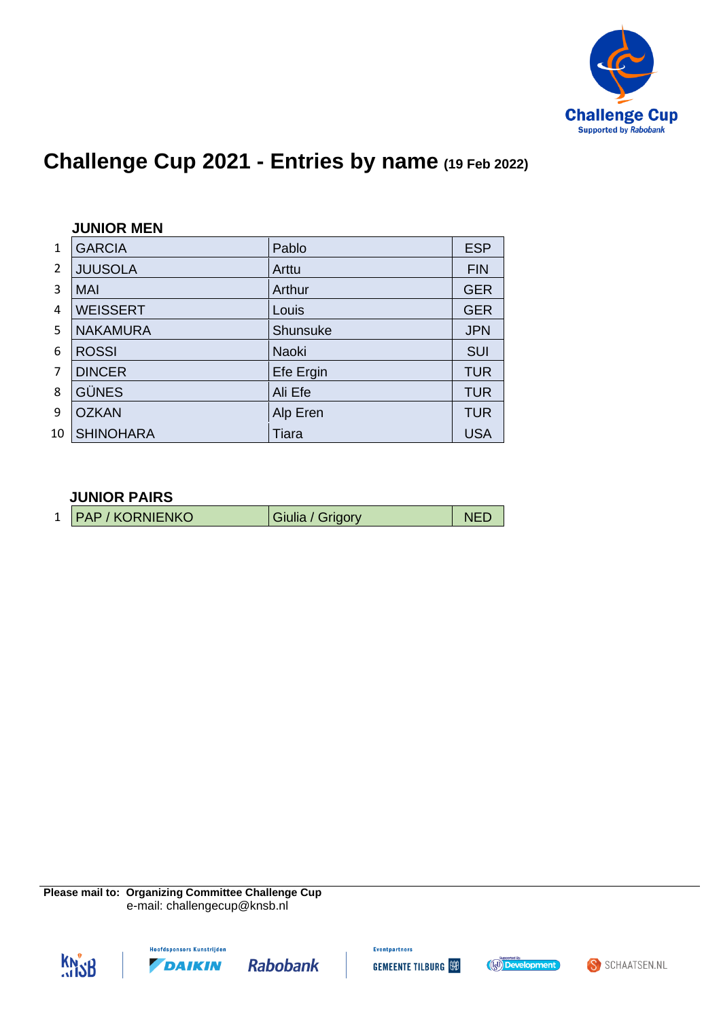

|               | <b>JUNIOR MEN</b> |              |            |  |
|---------------|-------------------|--------------|------------|--|
| 1             | <b>GARCIA</b>     | Pablo        | <b>ESP</b> |  |
| $\mathcal{P}$ | <b>JUUSOLA</b>    | Arttu        | <b>FIN</b> |  |
| 3             | <b>MAI</b>        | Arthur       | <b>GER</b> |  |
| 4             | <b>WEISSERT</b>   | Louis        | <b>GER</b> |  |
| 5             | <b>NAKAMURA</b>   | Shunsuke     | <b>JPN</b> |  |
| 6             | <b>ROSSI</b>      | <b>Naoki</b> | <b>SUI</b> |  |
| 7             | <b>DINCER</b>     | Efe Ergin    | <b>TUR</b> |  |
| 8             | <b>GÜNES</b>      | Ali Efe      | <b>TUR</b> |  |
| 9             | <b>OZKAN</b>      | Alp Eren     | <b>TUR</b> |  |
| 10            | <b>SHINOHARA</b>  | Tiara        | <b>USA</b> |  |

#### **JUNIOR PAIRS**

| 1   PAP / KORNIENKO<br>Giulia / Grigory |  |
|-----------------------------------------|--|
|-----------------------------------------|--|

**Please mail to: Organizing Committee Challenge Cup** e-mail: challengecup@knsb.nl







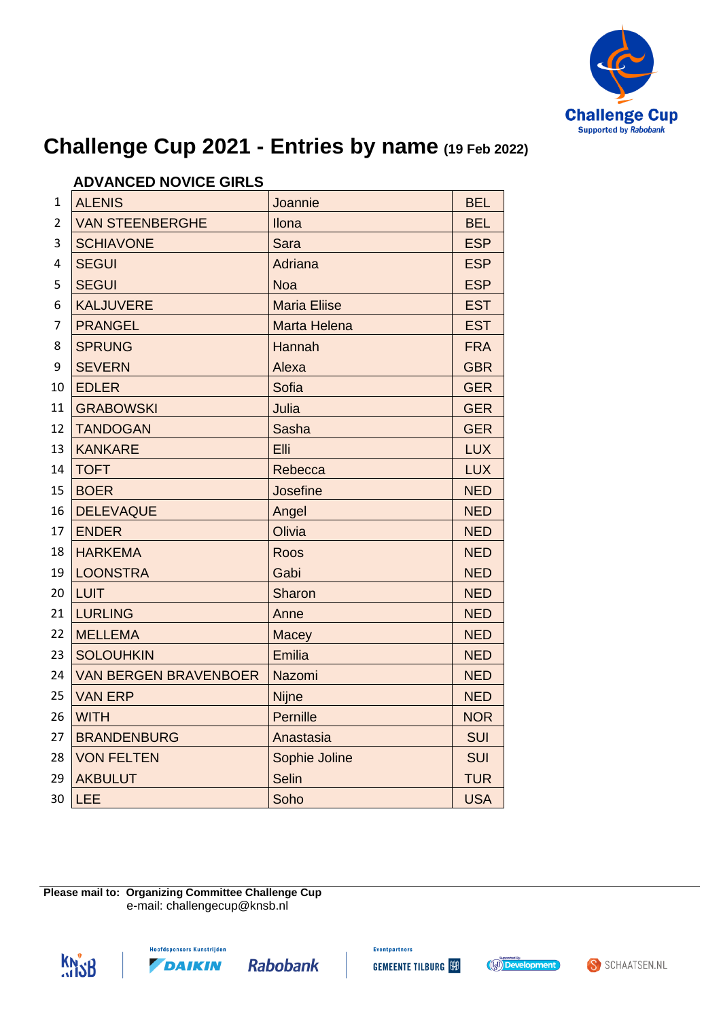

|                | AD YANULD NU YIUL UIINLU     |                     |            |
|----------------|------------------------------|---------------------|------------|
| 1              | <b>ALENIS</b>                | Joannie             | <b>BEL</b> |
| $\overline{2}$ | <b>VAN STEENBERGHE</b>       | Ilona               | <b>BEL</b> |
| 3              | <b>SCHIAVONE</b>             | Sara                | <b>ESP</b> |
| 4              | <b>SEGUI</b>                 | Adriana             | <b>ESP</b> |
| 5              | <b>SEGUI</b>                 | <b>Noa</b>          | <b>ESP</b> |
| 6              | <b>KALJUVERE</b>             | <b>Maria Eliise</b> | <b>EST</b> |
| 7              | <b>PRANGEL</b>               | <b>Marta Helena</b> | <b>EST</b> |
| 8              | <b>SPRUNG</b>                | Hannah              | <b>FRA</b> |
| 9              | <b>SEVERN</b>                | Alexa               | <b>GBR</b> |
| 10             | <b>EDLER</b>                 | Sofia               | <b>GER</b> |
| 11             | <b>GRABOWSKI</b>             | Julia               | <b>GER</b> |
| 12             | <b>TANDOGAN</b>              | <b>Sasha</b>        | <b>GER</b> |
| 13             | <b>KANKARE</b>               | Elli                | <b>LUX</b> |
| 14             | <b>TOFT</b>                  | Rebecca             | <b>LUX</b> |
| 15             | <b>BOER</b>                  | Josefine            | <b>NED</b> |
| 16             | <b>DELEVAQUE</b>             | Angel               | <b>NED</b> |
| 17             | <b>ENDER</b>                 | Olivia              | <b>NED</b> |
| 18             | <b>HARKEMA</b>               | Roos                | <b>NED</b> |
| 19             | <b>LOONSTRA</b>              | Gabi                | <b>NED</b> |
| 20             | <b>LUIT</b>                  | Sharon              | <b>NED</b> |
| 21             | <b>LURLING</b>               | Anne                | <b>NED</b> |
| 22             | <b>MELLEMA</b>               | Macey               | <b>NED</b> |
| 23             | <b>SOLOUHKIN</b>             | <b>Emilia</b>       | <b>NED</b> |
| 24             | <b>VAN BERGEN BRAVENBOER</b> | Nazomi              | <b>NED</b> |
| 25             | <b>VAN ERP</b>               | <b>Nijne</b>        | <b>NED</b> |
| 26             | <b>WITH</b>                  | <b>Pernille</b>     | <b>NOR</b> |
| 27             | <b>BRANDENBURG</b>           | Anastasia           | <b>SUI</b> |
| 28             | <b>VON FELTEN</b>            | Sophie Joline       | <b>SUI</b> |
| 29             | <b>AKBULUT</b>               | <b>Selin</b>        | <b>TUR</b> |
| 30             | LEE                          | Soho                | <b>USA</b> |
|                |                              |                     |            |

### **ADVANCED NOVICE GIRLS**

**Please mail to: Organizing Committee Challenge Cup** e-mail: challengecup@knsb.nl